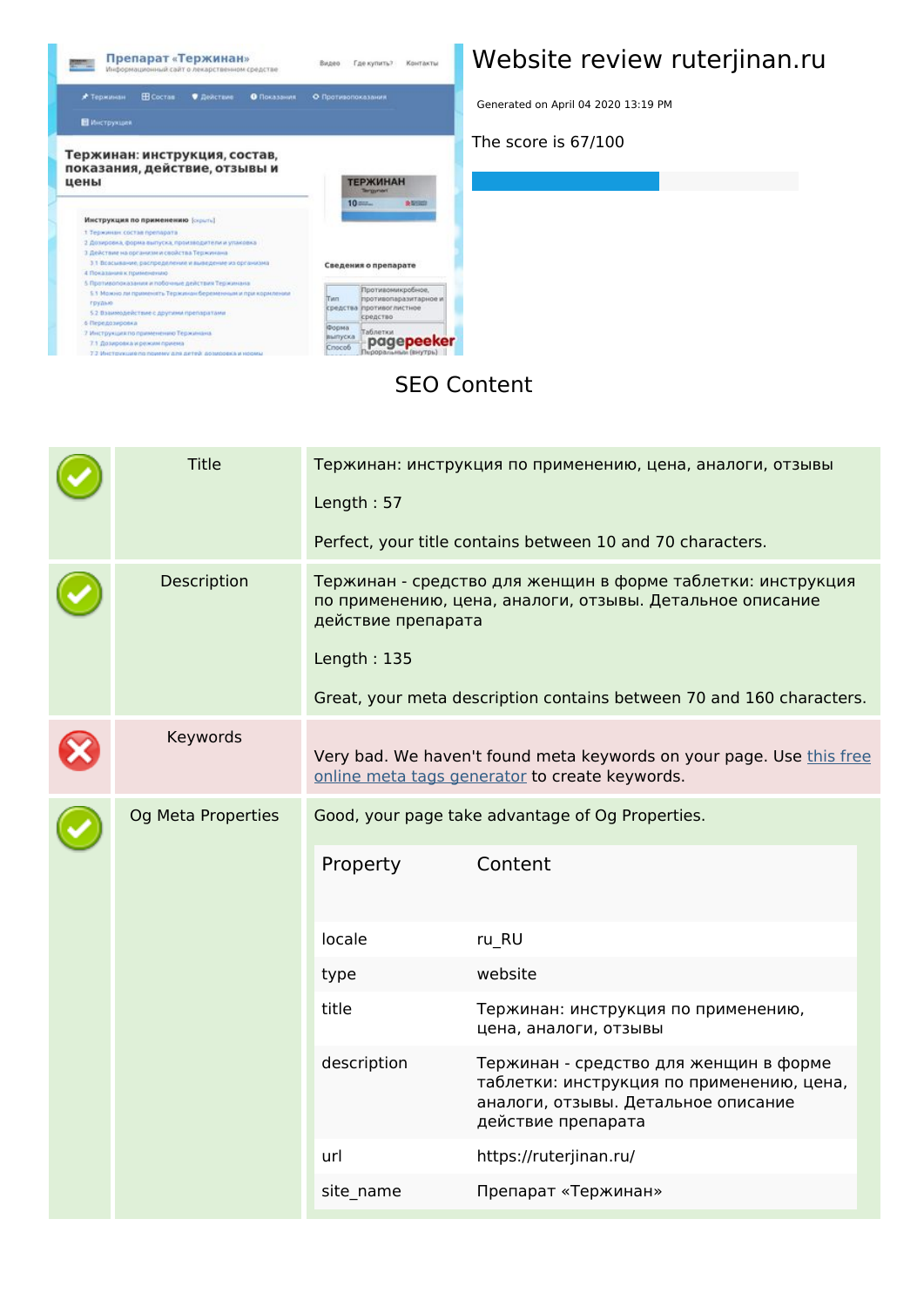

#### **SEO Content**

|  | <b>Title</b>       | Length: 57                                                                                                                                                                                                                             | Тержинан: инструкция по применению, цена, аналоги, отзывы<br>Perfect, your title contains between 10 and 70 characters.                          |  |
|--|--------------------|----------------------------------------------------------------------------------------------------------------------------------------------------------------------------------------------------------------------------------------|--------------------------------------------------------------------------------------------------------------------------------------------------|--|
|  | Description        | Тержинан - средство для женщин в форме таблетки: инструкция<br>по применению, цена, аналоги, отзывы. Детальное описание<br>действие препарата<br>Length: $135$<br>Great, your meta description contains between 70 and 160 characters. |                                                                                                                                                  |  |
|  | Keywords           |                                                                                                                                                                                                                                        | Very bad. We haven't found meta keywords on your page. Use this free<br>online meta tags generator to create keywords.                           |  |
|  | Og Meta Properties | Property                                                                                                                                                                                                                               | Good, your page take advantage of Og Properties.<br>Content                                                                                      |  |
|  |                    | locale                                                                                                                                                                                                                                 | ru RU                                                                                                                                            |  |
|  |                    | type                                                                                                                                                                                                                                   | website                                                                                                                                          |  |
|  |                    | title                                                                                                                                                                                                                                  | Тержинан: инструкция по применению,<br>цена, аналоги, отзывы                                                                                     |  |
|  |                    | description                                                                                                                                                                                                                            | Тержинан - средство для женщин в форме<br>таблетки: инструкция по применению, цена,<br>аналоги, отзывы. Детальное описание<br>действие препарата |  |
|  |                    | url                                                                                                                                                                                                                                    | https://ruterjinan.ru/                                                                                                                           |  |
|  |                    | site name                                                                                                                                                                                                                              | Препарат «Тержинан»                                                                                                                              |  |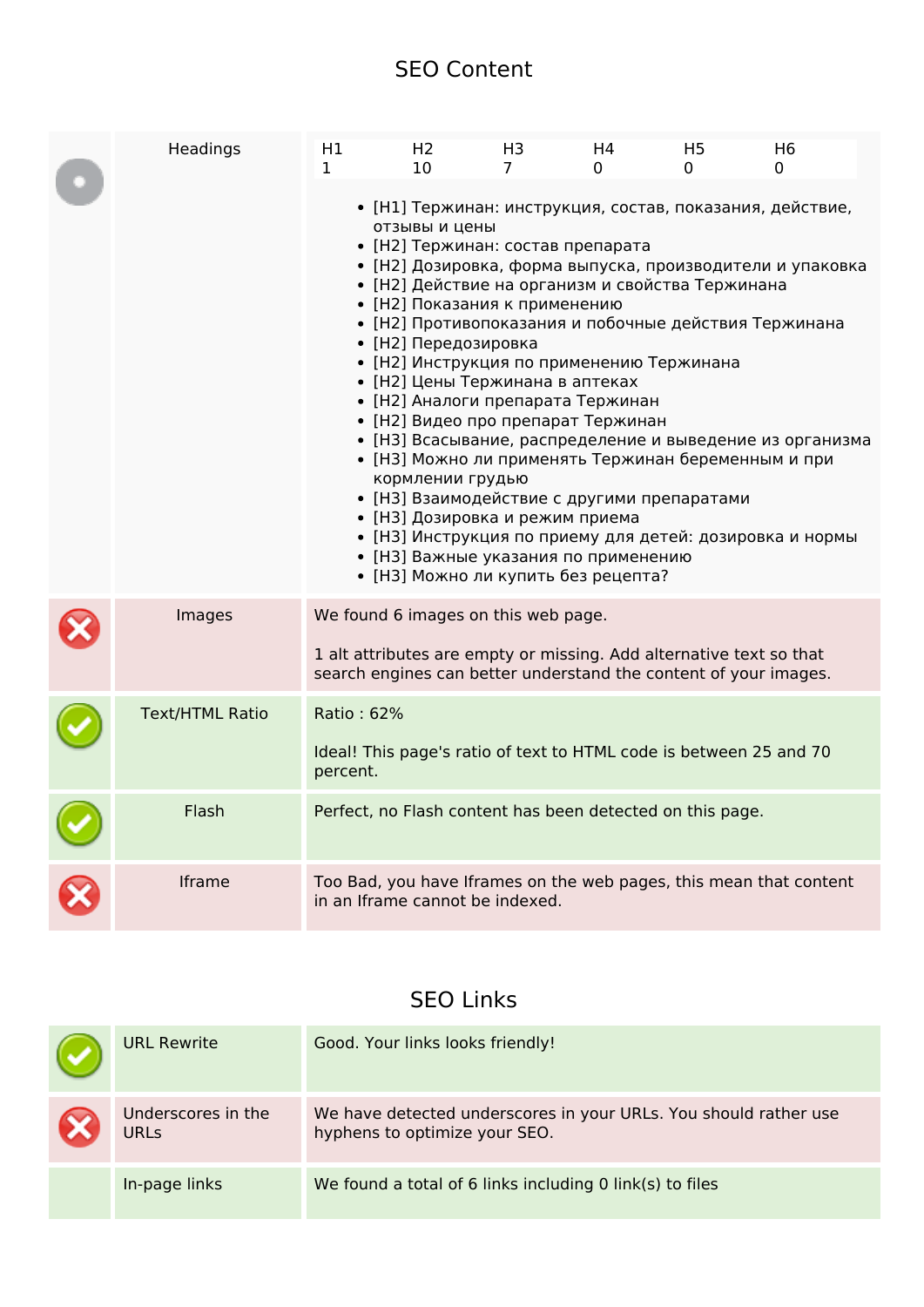### **SEO Content**

| Headings               | H1<br>1                                                                                                                                                                                                                                                                                                                                                                                                                                                                                                                                                                                                                                                                                                                                                                                                                                                                            | H <sub>2</sub><br>10 | H <sub>3</sub><br>7 | H4<br>0 | H <sub>5</sub><br>0                                                                                                                     | H <sub>6</sub><br>0 |
|------------------------|------------------------------------------------------------------------------------------------------------------------------------------------------------------------------------------------------------------------------------------------------------------------------------------------------------------------------------------------------------------------------------------------------------------------------------------------------------------------------------------------------------------------------------------------------------------------------------------------------------------------------------------------------------------------------------------------------------------------------------------------------------------------------------------------------------------------------------------------------------------------------------|----------------------|---------------------|---------|-----------------------------------------------------------------------------------------------------------------------------------------|---------------------|
|                        | • [Н1] Тержинан: инструкция, состав, показания, действие,<br>отзывы и цены<br>• [Н2] Тержинан: состав препарата<br>• [Н2] Дозировка, форма выпуска, производители и упаковка<br>• [Н2] Действие на организм и свойства Тержинана<br>• [Н2] Показания к применению<br>• [Н2] Противопоказания и побочные действия Тержинана<br>• [Н2] Передозировка<br>• [Н2] Инструкция по применению Тержинана<br>• [Н2] Цены Тержинана в аптеках<br>• [Н2] Аналоги препарата Тержинан<br>• [Н2] Видео про препарат Тержинан<br>• [НЗ] Всасывание, распределение и выведение из организма<br>• [НЗ] Можно ли применять Тержинан беременным и при<br>кормлении грудью<br>• [НЗ] Взаимодействие с другими препаратами<br>• [НЗ] Дозировка и режим приема<br>• [НЗ] Инструкция по приему для детей: дозировка и нормы<br>• [НЗ] Важные указания по применению<br>• [НЗ] Можно ли купить без рецепта? |                      |                     |         |                                                                                                                                         |                     |
| Images                 | We found 6 images on this web page.                                                                                                                                                                                                                                                                                                                                                                                                                                                                                                                                                                                                                                                                                                                                                                                                                                                |                      |                     |         | 1 alt attributes are empty or missing. Add alternative text so that<br>search engines can better understand the content of your images. |                     |
| <b>Text/HTML Ratio</b> | Ratio: 62%<br>percent.                                                                                                                                                                                                                                                                                                                                                                                                                                                                                                                                                                                                                                                                                                                                                                                                                                                             |                      |                     |         | Ideal! This page's ratio of text to HTML code is between 25 and 70                                                                      |                     |
| Flash                  |                                                                                                                                                                                                                                                                                                                                                                                                                                                                                                                                                                                                                                                                                                                                                                                                                                                                                    |                      |                     |         | Perfect, no Flash content has been detected on this page.                                                                               |                     |
| Iframe                 | Too Bad, you have Iframes on the web pages, this mean that content<br>in an Iframe cannot be indexed.                                                                                                                                                                                                                                                                                                                                                                                                                                                                                                                                                                                                                                                                                                                                                                              |                      |                     |         |                                                                                                                                         |                     |

### **SEO Links**

| <b>URL Rewrite</b>                | Good. Your links looks friendly!                                                                  |
|-----------------------------------|---------------------------------------------------------------------------------------------------|
| Underscores in the<br><b>URLS</b> | We have detected underscores in your URLs. You should rather use<br>hyphens to optimize your SEO. |
| In-page links                     | We found a total of 6 links including 0 link(s) to files                                          |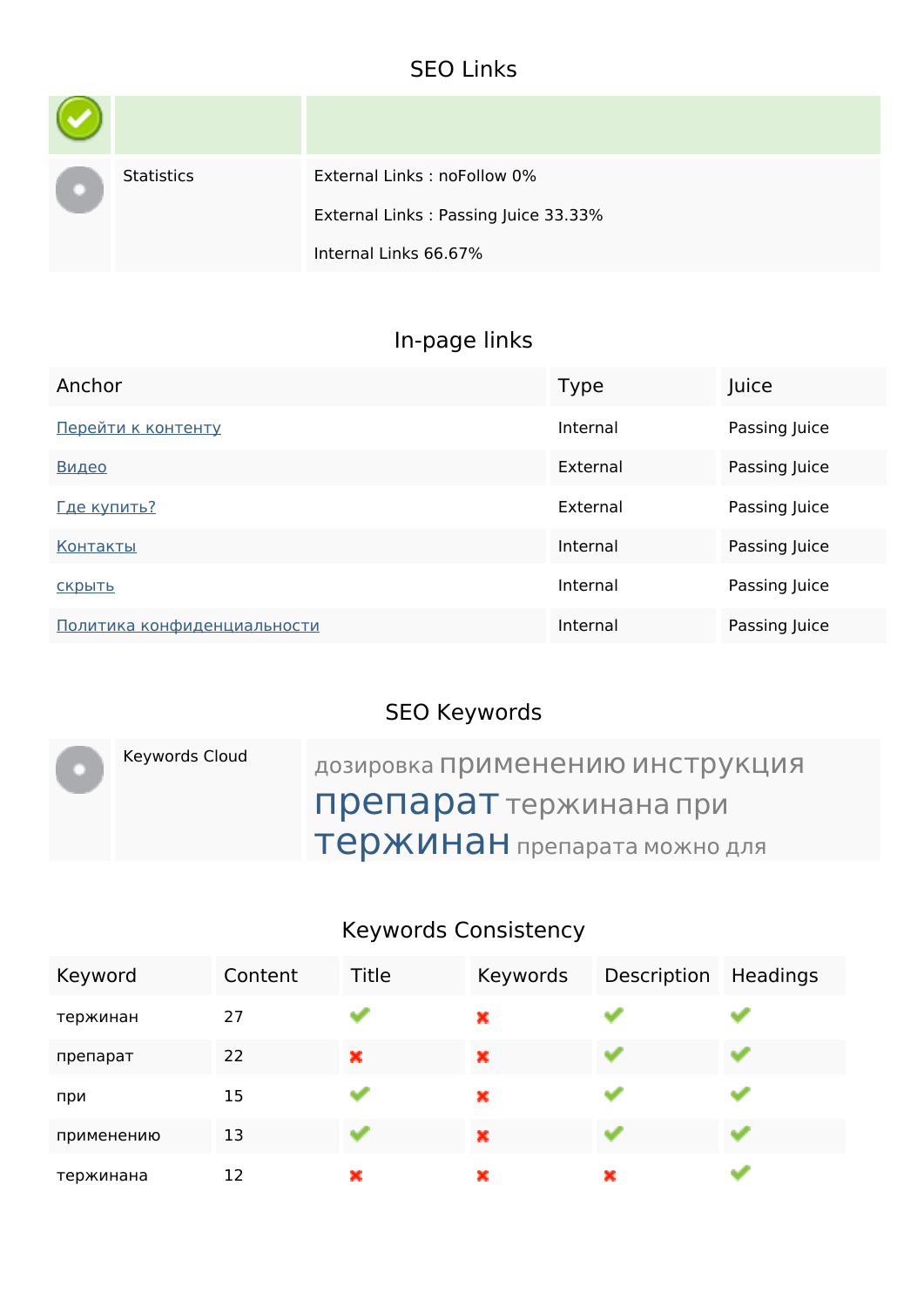## **SEO Links**

| <b>Statistics</b> | External Links: noFollow 0%          |
|-------------------|--------------------------------------|
|                   | External Links: Passing Juice 33.33% |
|                   | Internal Links 66.67%                |

## **In-page links**

| Anchor                      | Type     | Juice         |
|-----------------------------|----------|---------------|
| Перейти к контенту          | Internal | Passing Juice |
| Видео                       | External | Passing Juice |
| Где купить?                 | External | Passing Juice |
| Контакты                    | Internal | Passing Juice |
| СКРЫТЬ                      | Internal | Passing Juice |
| Политика конфиденциальности | Internal | Passing Juice |

## **SEO Keywords**

| Keywords Cloud | дозировка Применению инструкция |
|----------------|---------------------------------|
|                | Препарат тержинана при          |
|                | Тержинан препарата можно для    |

# **Keywords Consistency**

| Keyword    | Content | Title | Keywords | Description | Headings |
|------------|---------|-------|----------|-------------|----------|
| тержинан   | 27      |       | ×        |             |          |
| препарат   | 22      | ×     | ×        |             |          |
| при        | 15      |       | ×        |             |          |
| применению | 13      |       | ×        |             |          |
| тержинана  | 12      | ×     | ×        | ×           |          |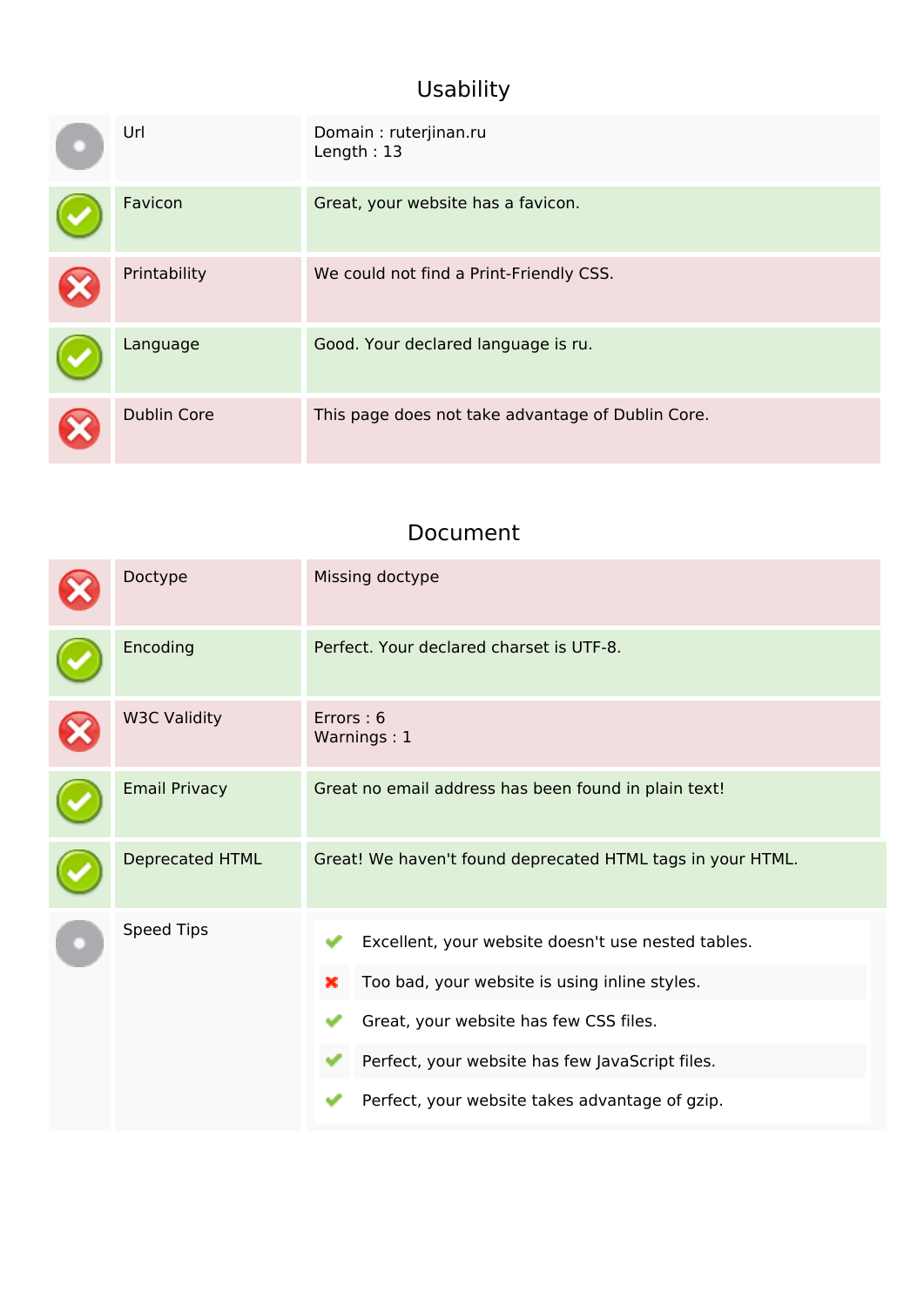## **Usability**

| Url                | Domain : ruterjinan.ru<br>Length: $13$            |
|--------------------|---------------------------------------------------|
| Favicon            | Great, your website has a favicon.                |
| Printability       | We could not find a Print-Friendly CSS.           |
| Language           | Good. Your declared language is ru.               |
| <b>Dublin Core</b> | This page does not take advantage of Dublin Core. |

### **Document**

| Doctype              | Missing doctype                                            |  |  |
|----------------------|------------------------------------------------------------|--|--|
| Encoding             | Perfect. Your declared charset is UTF-8.                   |  |  |
| <b>W3C Validity</b>  | Errors: 6<br>Warnings: 1                                   |  |  |
| <b>Email Privacy</b> | Great no email address has been found in plain text!       |  |  |
| Deprecated HTML      | Great! We haven't found deprecated HTML tags in your HTML. |  |  |
| Speed Tips           | Excellent, your website doesn't use nested tables.<br>✔    |  |  |
|                      | Too bad, your website is using inline styles.<br>×         |  |  |
|                      | Great, your website has few CSS files.                     |  |  |
|                      | Perfect, your website has few JavaScript files.            |  |  |
|                      | Perfect, your website takes advantage of gzip.             |  |  |